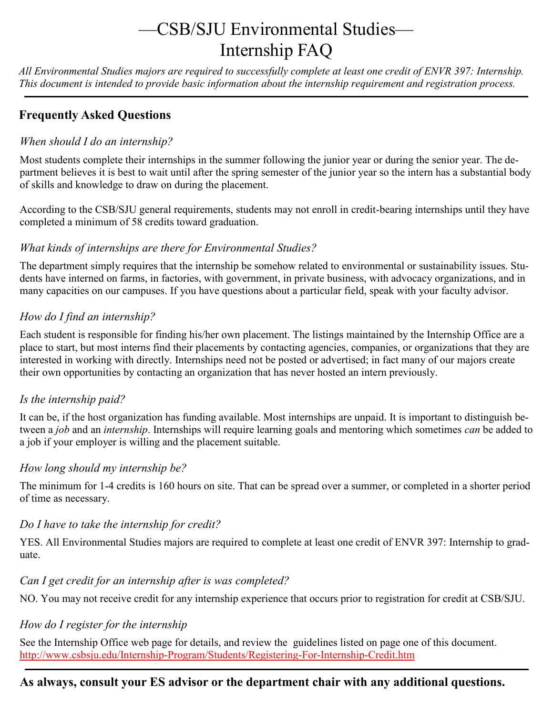# —CSB/SJU Environmental Studies— Internship FAQ

*All Environmental Studies majors are required to successfully complete at least one credit of ENVR 397: Internship. This document is intended to provide basic information about the internship requirement and registration process.*

### **Frequently Asked Questions**

#### *When should I do an internship?*

Most students complete their internships in the summer following the junior year or during the senior year. The department believes it is best to wait until after the spring semester of the junior year so the intern has a substantial body of skills and knowledge to draw on during the placement.

According to the CSB/SJU general requirements, students may not enroll in credit-bearing internships until they have completed a minimum of 58 credits toward graduation.

#### *What kinds of internships are there for Environmental Studies?*

The department simply requires that the internship be somehow related to environmental or sustainability issues. Students have interned on farms, in factories, with government, in private business, with advocacy organizations, and in many capacities on our campuses. If you have questions about a particular field, speak with your faculty advisor.

#### *How do I find an internship?*

Each student is responsible for finding his/her own placement. The listings maintained by the Internship Office are a place to start, but most interns find their placements by contacting agencies, companies, or organizations that they are interested in working with directly. Internships need not be posted or advertised; in fact many of our majors create their own opportunities by contacting an organization that has never hosted an intern previously.

#### *Is the internship paid?*

It can be, if the host organization has funding available. Most internships are unpaid. It is important to distinguish between a *job* and an *internship*. Internships will require learning goals and mentoring which sometimes *can* be added to a job if your employer is willing and the placement suitable.

#### *How long should my internship be?*

The minimum for 1-4 credits is 160 hours on site. That can be spread over a summer, or completed in a shorter period of time as necessary.

#### *Do I have to take the internship for credit?*

YES. All Environmental Studies majors are required to complete at least one credit of ENVR 397: Internship to graduate.

#### *Can I get credit for an internship after is was completed?*

NO. You may not receive credit for any internship experience that occurs prior to registration for credit at CSB/SJU.

#### *How do I register for the internship*

See the Internship Office web page for details, and review the guidelines listed on page one of this document. [http://www.csbsju.edu/Internship](http://www.csbsju.edu/Internship-Program/Students/Registering-For-Internship-Credit.htm)-Program/Students/Registering-For-Internship-Credit.htm

## **As always, consult your ES advisor or the department chair with any additional questions.**